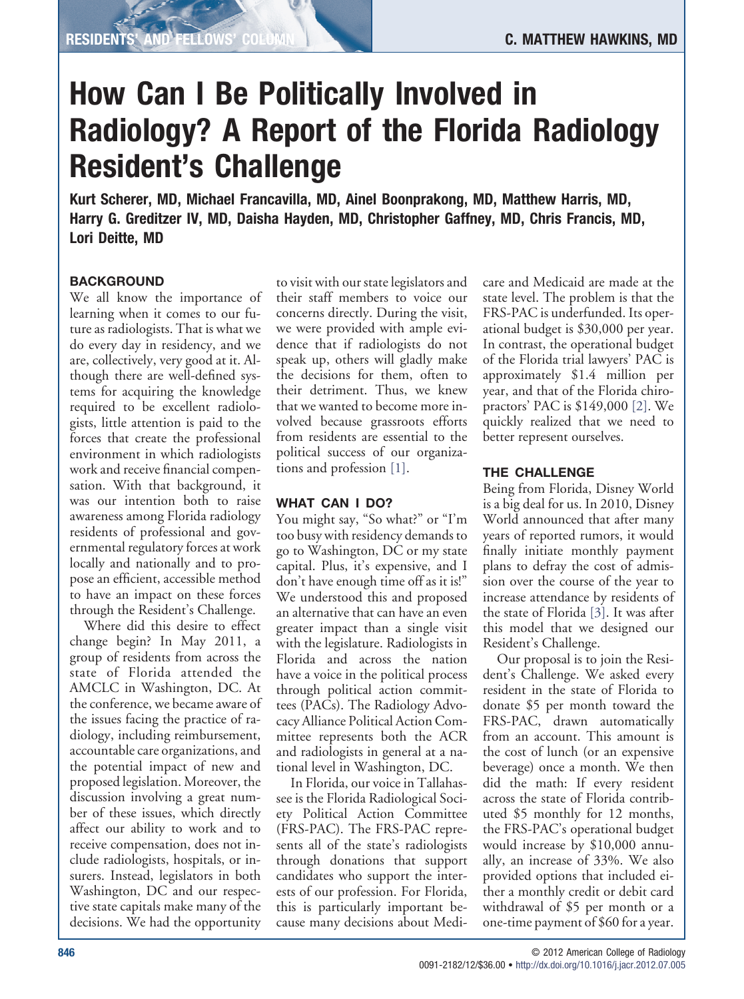# **How Can I Be Politically Involved in Radiology? A Report of the Florida Radiology Resident's Challenge**

**Kurt Scherer, MD, Michael Francavilla, MD, Ainel Boonprakong, MD, Matthew Harris, MD, Harry G. Greditzer IV, MD, Daisha Hayden, MD, Christopher Gaffney, MD, Chris Francis, MD, Lori Deitte, MD**

## **BACKGROUND**

We all know the importance of learning when it comes to our future as radiologists. That is what we do every day in residency, and we are, collectively, very good at it. Although there are well-defined systems for acquiring the knowledge required to be excellent radiologists, little attention is paid to the forces that create the professional environment in which radiologists work and receive financial compensation. With that background, it was our intention both to raise awareness among Florida radiology residents of professional and governmental regulatory forces at work locally and nationally and to propose an efficient, accessible method to have an impact on these forces through the Resident's Challenge.

Where did this desire to effect change begin? In May 2011, a group of residents from across the state of Florida attended the AMCLC in Washington, DC. At the conference, we became aware of the issues facing the practice of radiology, including reimbursement, accountable care organizations, and the potential impact of new and proposed legislation. Moreover, the discussion involving a great number of these issues, which directly affect our ability to work and to receive compensation, does not include radiologists, hospitals, or insurers. Instead, legislators in both Washington, DC and our respective state capitals make many of the decisions. We had the opportunity

to visit with our state legislators and their staff members to voice our concerns directly. During the visit, we were provided with ample evidence that if radiologists do not speak up, others will gladly make the decisions for them, often to their detriment. Thus, we knew that we wanted to become more involved because grassroots efforts from residents are essential to the political success of our organizations and profession [\[1\].](#page-1-0)

## **WHAT CAN I DO?**

You might say, "So what?" or "I'm too busy with residency demands to go to Washington, DC or my state capital. Plus, it's expensive, and I don't have enough time off as it is!" We understood this and proposed an alternative that can have an even greater impact than a single visit with the legislature. Radiologists in Florida and across the nation have a voice in the political process through political action committees (PACs). The Radiology Advocacy Alliance Political Action Committee represents both the ACR and radiologists in general at a national level in Washington, DC.

In Florida, our voice in Tallahassee is the Florida Radiological Society Political Action Committee (FRS-PAC). The FRS-PAC represents all of the state's radiologists through donations that support candidates who support the interests of our profession. For Florida, this is particularly important because many decisions about Medicare and Medicaid are made at the state level. The problem is that the FRS-PAC is underfunded. Its operational budget is \$30,000 per year. In contrast, the operational budget of the Florida trial lawyers' PAC is approximately \$1.4 million per year, and that of the Florida chiropractors' PAC is \$149,000 [\[2\].](#page-1-1) We quickly realized that we need to better represent ourselves.

# **THE CHALLENGE**

Being from Florida, Disney World is a big deal for us. In 2010, Disney World announced that after many years of reported rumors, it would finally initiate monthly payment plans to defray the cost of admission over the course of the year to increase attendance by residents of the state of Florida [\[3\].](#page-1-2) It was after this model that we designed our Resident's Challenge.

Our proposal is to join the Resident's Challenge. We asked every resident in the state of Florida to donate \$5 per month toward the FRS-PAC, drawn automatically from an account. This amount is the cost of lunch (or an expensive beverage) once a month. We then did the math: If every resident across the state of Florida contributed \$5 monthly for 12 months, the FRS-PAC's operational budget would increase by \$10,000 annually, an increase of 33%. We also provided options that included either a monthly credit or debit card withdrawal of \$5 per month or a one-time payment of \$60 for a year.